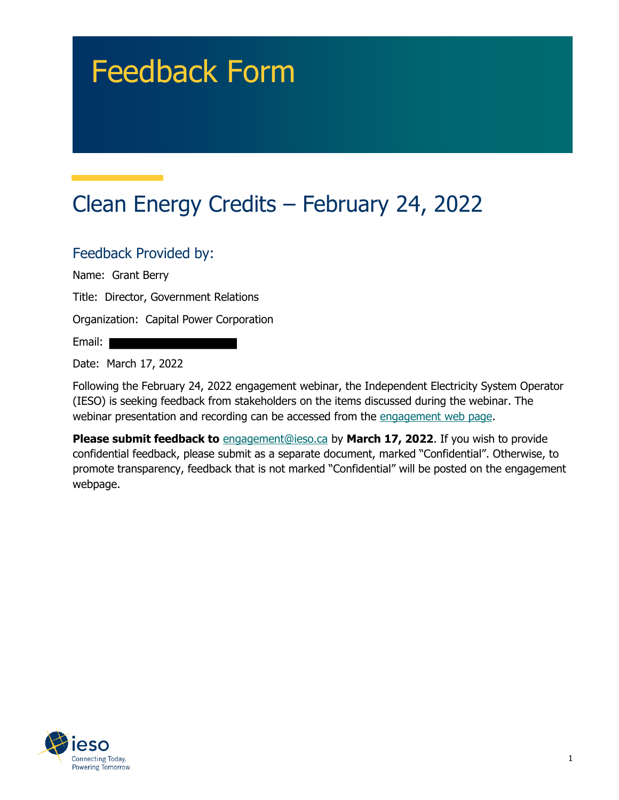# Feedback Form

# Clean Energy Credits – February 24, 2022

#### Feedback Provided by:

Name: Grant Berry

Title: Director, Government Relations

Organization: Capital Power Corporation

Email:

Date: March 17, 2022

Following the February 24, 2022 engagement webinar, the Independent Electricity System Operator (IESO) is seeking feedback from stakeholders on the items discussed during the webinar. The webinar presentation and recording can be accessed from the engagement web page.

**Please submit feedback to** engagement@ieso.ca by March 17, 2022. If you wish to provide confidential feedback, please submit as a separate document, marked "Confidential". Otherwise, to promote transparency, feedback that is not marked "Confidential" will be posted on the engagement webpage.

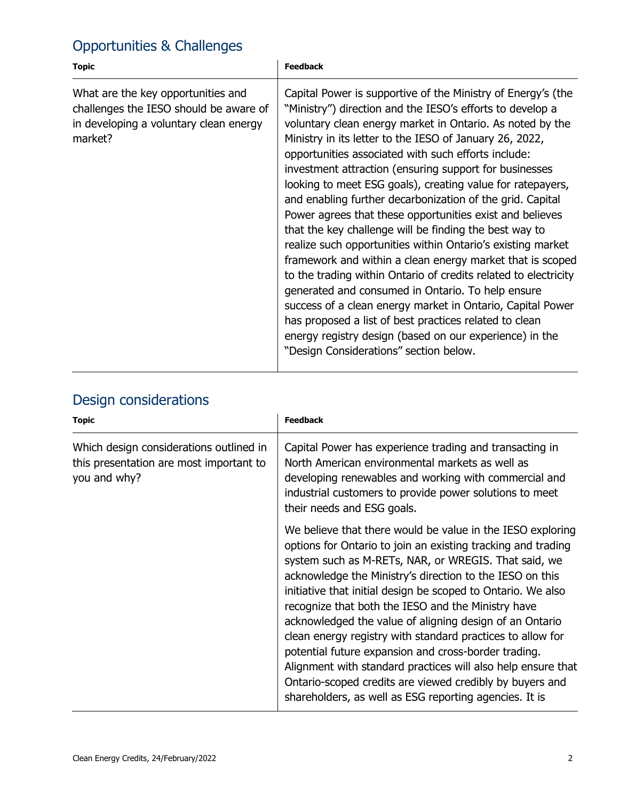## Opportunities & Challenges

| <b>Topic</b>                                                                                                                      | <b>Feedback</b>                                                                                                                                                                                                                                                                                                                                                                                                                                                                                                                                                                                                                                                                                                                                                                                                                                                                                                                                                                                                                                                                                      |
|-----------------------------------------------------------------------------------------------------------------------------------|------------------------------------------------------------------------------------------------------------------------------------------------------------------------------------------------------------------------------------------------------------------------------------------------------------------------------------------------------------------------------------------------------------------------------------------------------------------------------------------------------------------------------------------------------------------------------------------------------------------------------------------------------------------------------------------------------------------------------------------------------------------------------------------------------------------------------------------------------------------------------------------------------------------------------------------------------------------------------------------------------------------------------------------------------------------------------------------------------|
| What are the key opportunities and<br>challenges the IESO should be aware of<br>in developing a voluntary clean energy<br>market? | Capital Power is supportive of the Ministry of Energy's (the<br>"Ministry") direction and the IESO's efforts to develop a<br>voluntary clean energy market in Ontario. As noted by the<br>Ministry in its letter to the IESO of January 26, 2022,<br>opportunities associated with such efforts include:<br>investment attraction (ensuring support for businesses<br>looking to meet ESG goals), creating value for ratepayers,<br>and enabling further decarbonization of the grid. Capital<br>Power agrees that these opportunities exist and believes<br>that the key challenge will be finding the best way to<br>realize such opportunities within Ontario's existing market<br>framework and within a clean energy market that is scoped<br>to the trading within Ontario of credits related to electricity<br>generated and consumed in Ontario. To help ensure<br>success of a clean energy market in Ontario, Capital Power<br>has proposed a list of best practices related to clean<br>energy registry design (based on our experience) in the<br>"Design Considerations" section below. |

#### Design considerations

| <b>Topic</b>                                                                                       | <b>Feedback</b>                                                                                                                                                                                                                                                                                                                                                                                                                                                                                                                                                                                                                                                                                                                             |
|----------------------------------------------------------------------------------------------------|---------------------------------------------------------------------------------------------------------------------------------------------------------------------------------------------------------------------------------------------------------------------------------------------------------------------------------------------------------------------------------------------------------------------------------------------------------------------------------------------------------------------------------------------------------------------------------------------------------------------------------------------------------------------------------------------------------------------------------------------|
| Which design considerations outlined in<br>this presentation are most important to<br>you and why? | Capital Power has experience trading and transacting in<br>North American environmental markets as well as<br>developing renewables and working with commercial and<br>industrial customers to provide power solutions to meet<br>their needs and ESG goals.                                                                                                                                                                                                                                                                                                                                                                                                                                                                                |
|                                                                                                    | We believe that there would be value in the IESO exploring<br>options for Ontario to join an existing tracking and trading<br>system such as M-RETs, NAR, or WREGIS. That said, we<br>acknowledge the Ministry's direction to the IESO on this<br>initiative that initial design be scoped to Ontario. We also<br>recognize that both the IESO and the Ministry have<br>acknowledged the value of aligning design of an Ontario<br>clean energy registry with standard practices to allow for<br>potential future expansion and cross-border trading.<br>Alignment with standard practices will also help ensure that<br>Ontario-scoped credits are viewed credibly by buyers and<br>shareholders, as well as ESG reporting agencies. It is |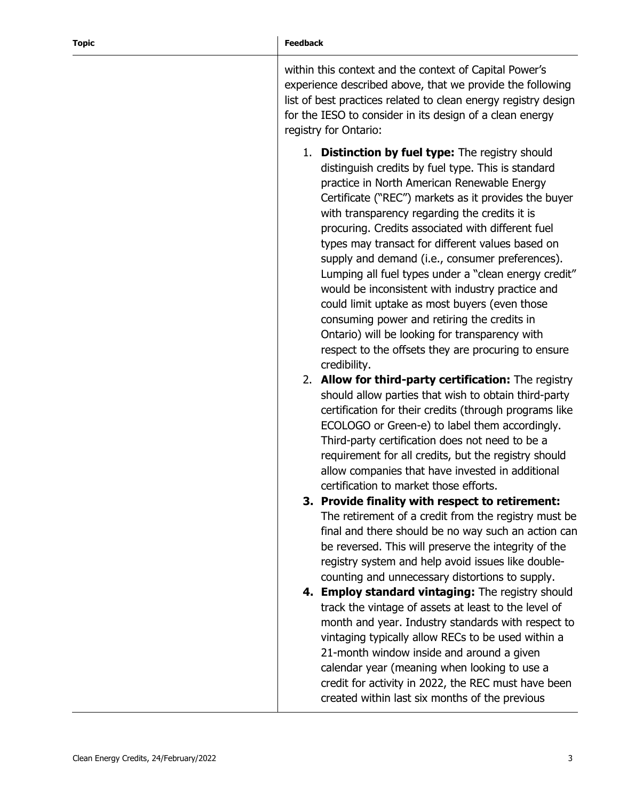within this context and the context of Capital Power's experience described above, that we provide the following list of best practices related to clean energy registry design for the IESO to consider in its design of a clean energy registry for Ontario:

- 1. **Distinction by fuel type:** The registry should distinguish credits by fuel type. This is standard practice in North American Renewable Energy Certificate ("REC") markets as it provides the buyer with transparency regarding the credits it is procuring. Credits associated with different fuel types may transact for different values based on supply and demand (i.e., consumer preferences). Lumping all fuel types under a "clean energy credit" would be inconsistent with industry practice and could limit uptake as most buyers (even those consuming power and retiring the credits in Ontario) will be looking for transparency with respect to the offsets they are procuring to ensure credibility.
- 2. **Allow for third-party certification:** The registry should allow parties that wish to obtain third-party certification for their credits (through programs like ECOLOGO or Green-e) to label them accordingly. Third-party certification does not need to be a requirement for all credits, but the registry should allow companies that have invested in additional certification to market those efforts.
- **3. Provide finality with respect to retirement:**  The retirement of a credit from the registry must be final and there should be no way such an action can be reversed. This will preserve the integrity of the registry system and help avoid issues like doublecounting and unnecessary distortions to supply.
- **4. Employ standard vintaging:** The registry should track the vintage of assets at least to the level of month and year. Industry standards with respect to vintaging typically allow RECs to be used within a 21-month window inside and around a given calendar year (meaning when looking to use a credit for activity in 2022, the REC must have been created within last six months of the previous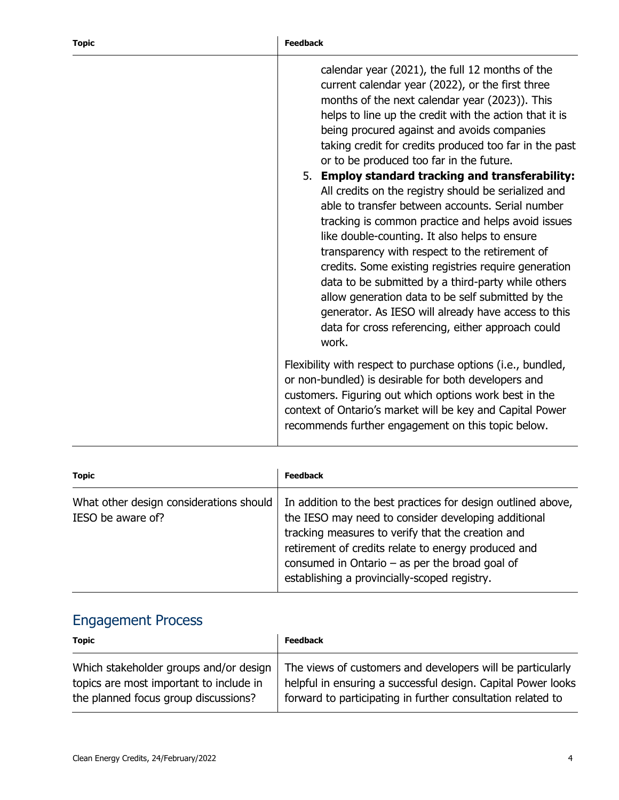| calendar year (2021), the full 12 months of the<br>current calendar year (2022), or the first three<br>months of the next calendar year (2023)). This<br>helps to line up the credit with the action that it is<br>being procured against and avoids companies<br>taking credit for credits produced too far in the past<br>or to be produced too far in the future.<br>5. Employ standard tracking and transferability:<br>All credits on the registry should be serialized and<br>able to transfer between accounts. Serial number<br>tracking is common practice and helps avoid issues<br>like double-counting. It also helps to ensure<br>transparency with respect to the retirement of<br>credits. Some existing registries require generation<br>data to be submitted by a third-party while others<br>allow generation data to be self submitted by the<br>generator. As IESO will already have access to this<br>data for cross referencing, either approach could<br>work. |
|---------------------------------------------------------------------------------------------------------------------------------------------------------------------------------------------------------------------------------------------------------------------------------------------------------------------------------------------------------------------------------------------------------------------------------------------------------------------------------------------------------------------------------------------------------------------------------------------------------------------------------------------------------------------------------------------------------------------------------------------------------------------------------------------------------------------------------------------------------------------------------------------------------------------------------------------------------------------------------------|
| Flexibility with respect to purchase options (i.e., bundled,<br>or non-bundled) is desirable for both developers and<br>customers. Figuring out which options work best in the<br>context of Ontario's market will be key and Capital Power                                                                                                                                                                                                                                                                                                                                                                                                                                                                                                                                                                                                                                                                                                                                           |
|                                                                                                                                                                                                                                                                                                                                                                                                                                                                                                                                                                                                                                                                                                                                                                                                                                                                                                                                                                                       |

| <b>Topic</b>                                                 | <b>Feedback</b>                                                                                                                                                                                                                                                                                                                     |
|--------------------------------------------------------------|-------------------------------------------------------------------------------------------------------------------------------------------------------------------------------------------------------------------------------------------------------------------------------------------------------------------------------------|
| What other design considerations should<br>IESO be aware of? | In addition to the best practices for design outlined above,<br>the IESO may need to consider developing additional<br>tracking measures to verify that the creation and<br>retirement of credits relate to energy produced and<br>consumed in Ontario $-$ as per the broad goal of<br>establishing a provincially-scoped registry. |

## Engagement Process

| <b>Topic</b>                            | <b>Feedback</b>                                              |
|-----------------------------------------|--------------------------------------------------------------|
| Which stakeholder groups and/or design  | The views of customers and developers will be particularly   |
| topics are most important to include in | helpful in ensuring a successful design. Capital Power looks |
| the planned focus group discussions?    | forward to participating in further consultation related to  |